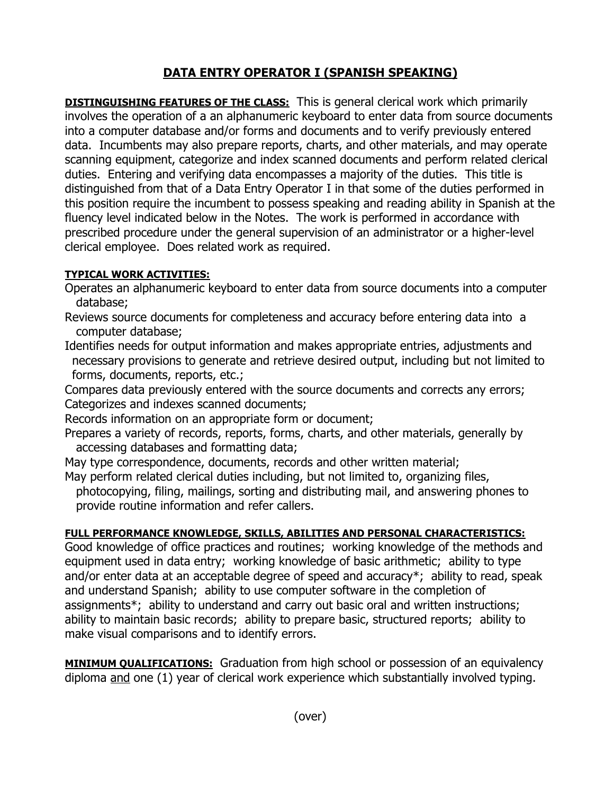## **DATA ENTRY OPERATOR I (SPANISH SPEAKING)**

**DISTINGUISHING FEATURES OF THE CLASS:** This is general clerical work which primarily involves the operation of a an alphanumeric keyboard to enter data from source documents into a computer database and/or forms and documents and to verify previously entered data. Incumbents may also prepare reports, charts, and other materials, and may operate scanning equipment, categorize and index scanned documents and perform related clerical duties. Entering and verifying data encompasses a majority of the duties. This title is distinguished from that of a Data Entry Operator I in that some of the duties performed in this position require the incumbent to possess speaking and reading ability in Spanish at the fluency level indicated below in the Notes. The work is performed in accordance with prescribed procedure under the general supervision of an administrator or a higher-level clerical employee. Does related work as required.

## **TYPICAL WORK ACTIVITIES:**

- Operates an alphanumeric keyboard to enter data from source documents into a computer database;
- Reviews source documents for completeness and accuracy before entering data into a computer database;
- Identifies needs for output information and makes appropriate entries, adjustments and necessary provisions to generate and retrieve desired output, including but not limited to forms, documents, reports, etc.;

Compares data previously entered with the source documents and corrects any errors; Categorizes and indexes scanned documents;

Records information on an appropriate form or document;

Prepares a variety of records, reports, forms, charts, and other materials, generally by accessing databases and formatting data;

May type correspondence, documents, records and other written material;

May perform related clerical duties including, but not limited to, organizing files, photocopying, filing, mailings, sorting and distributing mail, and answering phones to provide routine information and refer callers.

## **FULL PERFORMANCE KNOWLEDGE, SKILLS, ABILITIES AND PERSONAL CHARACTERISTICS:**

Good knowledge of office practices and routines; working knowledge of the methods and equipment used in data entry; working knowledge of basic arithmetic; ability to type and/or enter data at an acceptable degree of speed and accuracy\*; ability to read, speak and understand Spanish; ability to use computer software in the completion of assignments\*; ability to understand and carry out basic oral and written instructions; ability to maintain basic records; ability to prepare basic, structured reports; ability to make visual comparisons and to identify errors.

**MINIMUM QUALIFICATIONS:** Graduation from high school or possession of an equivalency diploma and one (1) year of clerical work experience which substantially involved typing.